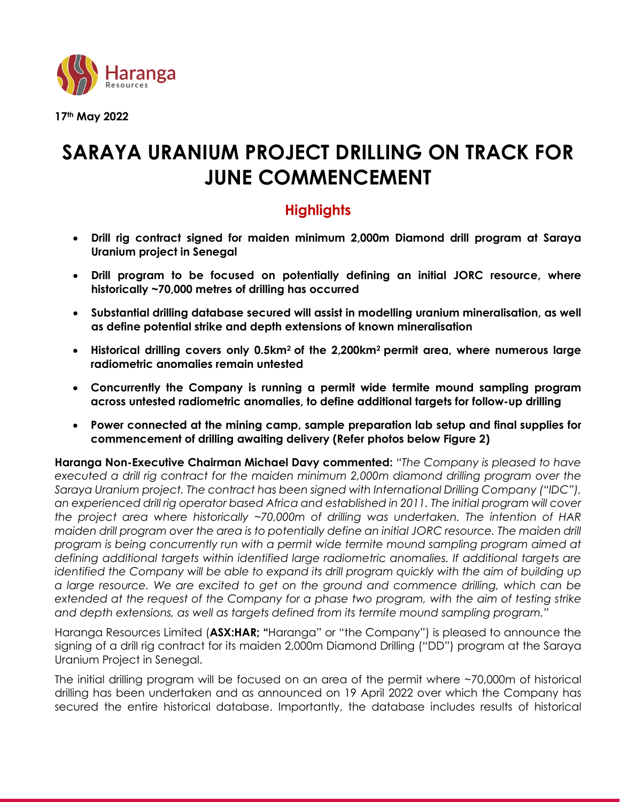

**17th May 2022**

# **SARAYA URANIUM PROJECT DRILLING ON TRACK FOR JUNE COMMENCEMENT**

# **Highlights**

- **Drill rig contract signed for maiden minimum 2,000m Diamond drill program at Saraya Uranium project in Senegal**
- **Drill program to be focused on potentially defining an initial JORC resource, where historically ~70,000 metres of drilling has occurred**
- **Substantial drilling database secured will assist in modelling uranium mineralisation, as well as define potential strike and depth extensions of known mineralisation**
- **Historical drilling covers only 0.5km2 of the 2,200km<sup>2</sup> permit area, where numerous large radiometric anomalies remain untested**
- **Concurrently the Company is running a permit wide termite mound sampling program across untested radiometric anomalies, to define additional targets for follow-up drilling**
- **Power connected at the mining camp, sample preparation lab setup and final supplies for commencement of drilling awaiting delivery (Refer photos below Figure 2)**

**Haranga Non-Executive Chairman Michael Davy commented:** *"The Company is pleased to have executed a drill rig contract for the maiden minimum 2,000m diamond drilling program over the Saraya Uranium project. The contract has been signed with International Drilling Company ("IDC"), an experienced drill rig operator based Africa and established in 2011. The initial program will cover the project area where historically ~70,000m of drilling was undertaken. The intention of HAR maiden drill program over the area is to potentially define an initial JORC resource. The maiden drill program is being concurrently run with a permit wide termite mound sampling program aimed at defining additional targets within identified large radiometric anomalies. If additional targets are identified the Company will be able to expand its drill program quickly with the aim of building up a large resource. We are excited to get on the ground and commence drilling, which can be extended at the request of the Company for a phase two program, with the aim of testing strike and depth extensions, as well as targets defined from its termite mound sampling program."*

Haranga Resources Limited (**ASX:HAR; "**Haranga" or "the Company") is pleased to announce the signing of a drill rig contract for its maiden 2,000m Diamond Drilling ("DD") program at the Saraya Uranium Project in Senegal.

The initial drilling program will be focused on an area of the permit where ~70,000m of historical drilling has been undertaken and as announced on 19 April 2022 over which the Company has secured the entire historical database. Importantly, the database includes results of historical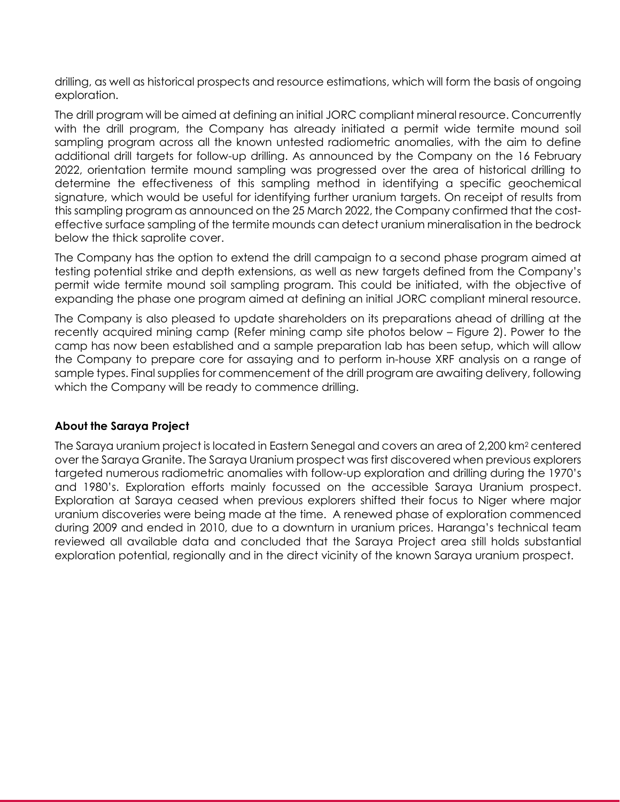drilling, as well as historical prospects and resource estimations, which will form the basis of ongoing exploration.

The drill program will be aimed at defining an initial JORC compliant mineral resource. Concurrently with the drill program, the Company has already initiated a permit wide termite mound soil sampling program across all the known untested radiometric anomalies, with the aim to define additional drill targets for follow-up drilling. As announced by the Company on the 16 February 2022, orientation termite mound sampling was progressed over the area of historical drilling to determine the effectiveness of this sampling method in identifying a specific geochemical signature, which would be useful for identifying further uranium targets. On receipt of results from this sampling program as announced on the 25 March 2022, the Company confirmed that the costeffective surface sampling of the termite mounds can detect uranium mineralisation in the bedrock below the thick saprolite cover.

The Company has the option to extend the drill campaign to a second phase program aimed at testing potential strike and depth extensions, as well as new targets defined from the Company's permit wide termite mound soil sampling program. This could be initiated, with the objective of expanding the phase one program aimed at defining an initial JORC compliant mineral resource.

The Company is also pleased to update shareholders on its preparations ahead of drilling at the recently acquired mining camp (Refer mining camp site photos below – Figure 2). Power to the camp has now been established and a sample preparation lab has been setup, which will allow the Company to prepare core for assaying and to perform in-house XRF analysis on a range of sample types. Final supplies for commencement of the drill program are awaiting delivery, following which the Company will be ready to commence drilling.

# **About the Saraya Project**

The Saraya uranium project is located in Eastern Senegal and covers an area of 2,200 km<sup>2</sup> centered over the Saraya Granite. The Saraya Uranium prospect was first discovered when previous explorers targeted numerous radiometric anomalies with follow-up exploration and drilling during the 1970's and 1980's. Exploration efforts mainly focussed on the accessible Saraya Uranium prospect. Exploration at Saraya ceased when previous explorers shifted their focus to Niger where major uranium discoveries were being made at the time. A renewed phase of exploration commenced during 2009 and ended in 2010, due to a downturn in uranium prices. Haranga's technical team reviewed all available data and concluded that the Saraya Project area still holds substantial exploration potential, regionally and in the direct vicinity of the known Saraya uranium prospect.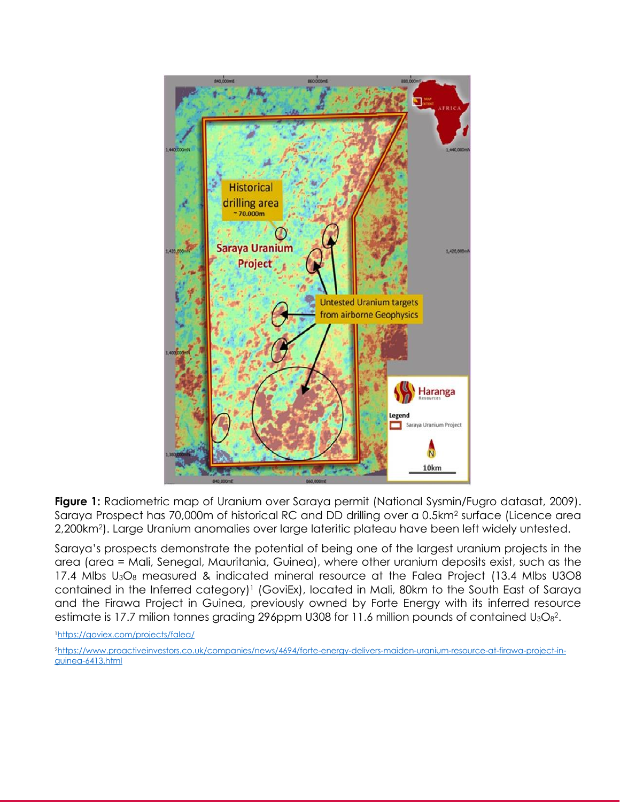

**Figure 1:** Radiometric map of Uranium over Saraya permit (National Sysmin/Fugro datasat, 2009). Saraya Prospect has 70,000m of historical RC and DD drilling over a 0.5km<sup>2</sup> surface (Licence area 2,200km2). Large Uranium anomalies over large lateritic plateau have been left widely untested.

Saraya's prospects demonstrate the potential of being one of the largest uranium projects in the area (area = Mali, Senegal, Mauritania, Guinea), where other uranium deposits exist, such as the 17.4 Mlbs U<sub>3</sub>O<sub>8</sub> measured & indicated mineral resource at the Falea Project (13.4 Mlbs U3O8 contained in the Inferred category) <sup>1</sup> (GoviEx), located in Mali, 80km to the South East of Saraya and the Firawa Project in Guinea, previously owned by Forte Energy with its inferred resource estimate is 17.7 milion tonnes grading 296ppm U308 for 11.6 million pounds of contained U<sub>3</sub>O $_8$ <sup>2</sup>.

<sup>1</sup><https://goviex.com/projects/falea/>

2[https://www.proactiveinvestors.co.uk/companies/news/4694/forte-energy-delivers-maiden-uranium-resource-at-firawa-project-in](https://www.proactiveinvestors.co.uk/companies/news/4694/forte-energy-delivers-maiden-uranium-resource-at-firawa-project-in-guinea-6413.html)[guinea-6413.html](https://www.proactiveinvestors.co.uk/companies/news/4694/forte-energy-delivers-maiden-uranium-resource-at-firawa-project-in-guinea-6413.html)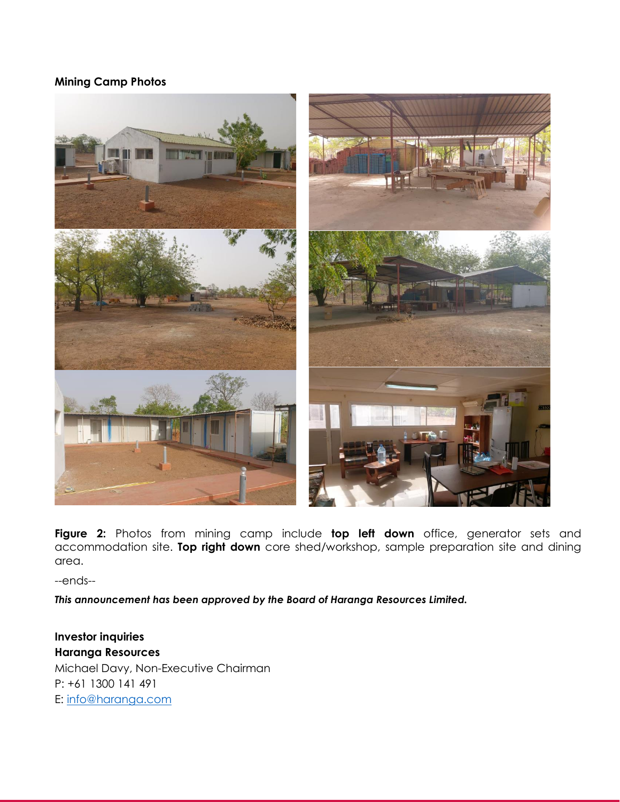# **Mining Camp Photos**



**Figure 2:** Photos from mining camp include **top left down** office, generator sets and accommodation site. **Top right down** core shed/workshop, sample preparation site and dining area.

--ends--

*This announcement has been approved by the Board of Haranga Resources Limited.*

**Investor inquiries Haranga Resources** Michael Davy, Non-Executive Chairman P: +61 [1300 141 491](tel:1300%20141%20491) E: info@haranga.com